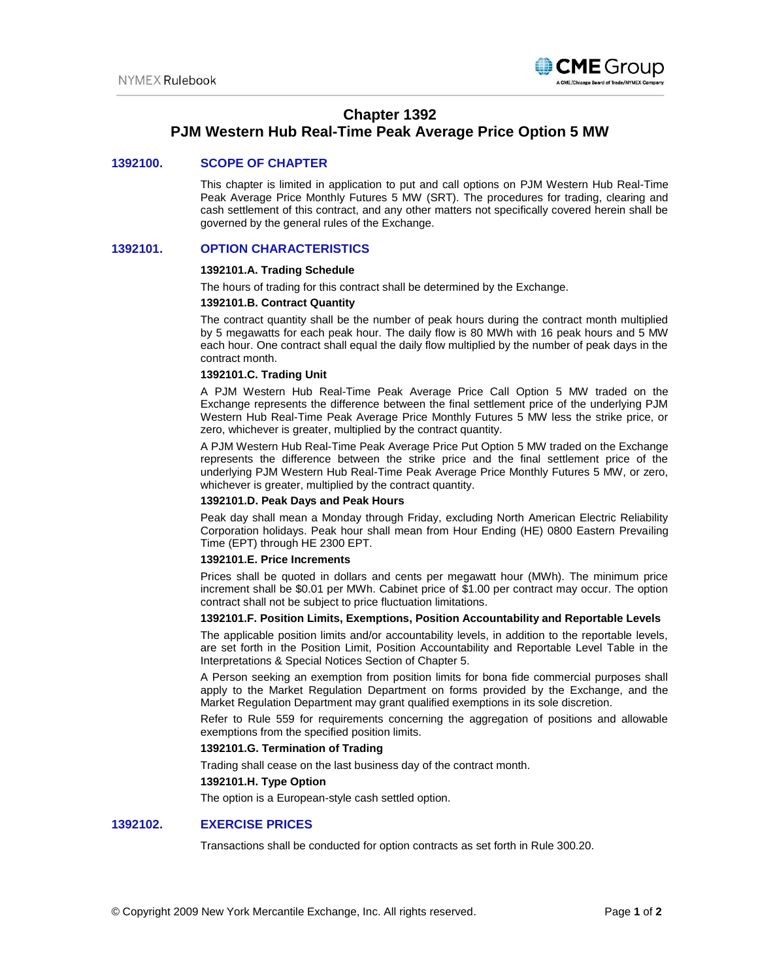

# **Chapter 1392**

# **PJM Western Hub Real-Time Peak Average Price Option 5 MW**

## **1392100. SCOPE OF CHAPTER**

This chapter is limited in application to put and call options on PJM Western Hub Real-Time Peak Average Price Monthly Futures 5 MW (SRT). The procedures for trading, clearing and cash settlement of this contract, and any other matters not specifically covered herein shall be governed by the general rules of the Exchange.

## **1392101. OPTION CHARACTERISTICS**

### **1392101.A. Trading Schedule**

The hours of trading for this contract shall be determined by the Exchange.

### **1392101.B. Contract Quantity**

The contract quantity shall be the number of peak hours during the contract month multiplied by 5 megawatts for each peak hour. The daily flow is 80 MWh with 16 peak hours and 5 MW each hour. One contract shall equal the daily flow multiplied by the number of peak days in the contract month.

### **1392101.C. Trading Unit**

A PJM Western Hub Real-Time Peak Average Price Call Option 5 MW traded on the Exchange represents the difference between the final settlement price of the underlying PJM Western Hub Real-Time Peak Average Price Monthly Futures 5 MW less the strike price, or zero, whichever is greater, multiplied by the contract quantity.

A PJM Western Hub Real-Time Peak Average Price Put Option 5 MW traded on the Exchange represents the difference between the strike price and the final settlement price of the underlying PJM Western Hub Real-Time Peak Average Price Monthly Futures 5 MW, or zero, whichever is greater, multiplied by the contract quantity.

## **1392101.D. Peak Days and Peak Hours**

Peak day shall mean a Monday through Friday, excluding North American Electric Reliability Corporation holidays. Peak hour shall mean from Hour Ending (HE) 0800 Eastern Prevailing Time (EPT) through HE 2300 EPT.

#### **1392101.E. Price Increments**

Prices shall be quoted in dollars and cents per megawatt hour (MWh). The minimum price increment shall be \$0.01 per MWh. Cabinet price of \$1.00 per contract may occur. The option contract shall not be subject to price fluctuation limitations.

### **1392101.F. Position Limits, Exemptions, Position Accountability and Reportable Levels**

The applicable position limits and/or accountability levels, in addition to the reportable levels, are set forth in the Position Limit, Position Accountability and Reportable Level Table in the Interpretations & Special Notices Section of Chapter 5.

A Person seeking an exemption from position limits for bona fide commercial purposes shall apply to the Market Regulation Department on forms provided by the Exchange, and the Market Regulation Department may grant qualified exemptions in its sole discretion.

Refer to Rule 559 for requirements concerning the aggregation of positions and allowable exemptions from the specified position limits.

## **1392101.G. Termination of Trading**

Trading shall cease on the last business day of the contract month.

#### **1392101.H. Type Option**

The option is a European-style cash settled option.

## **1392102. EXERCISE PRICES**

Transactions shall be conducted for option contracts as set forth in Rule 300.20.